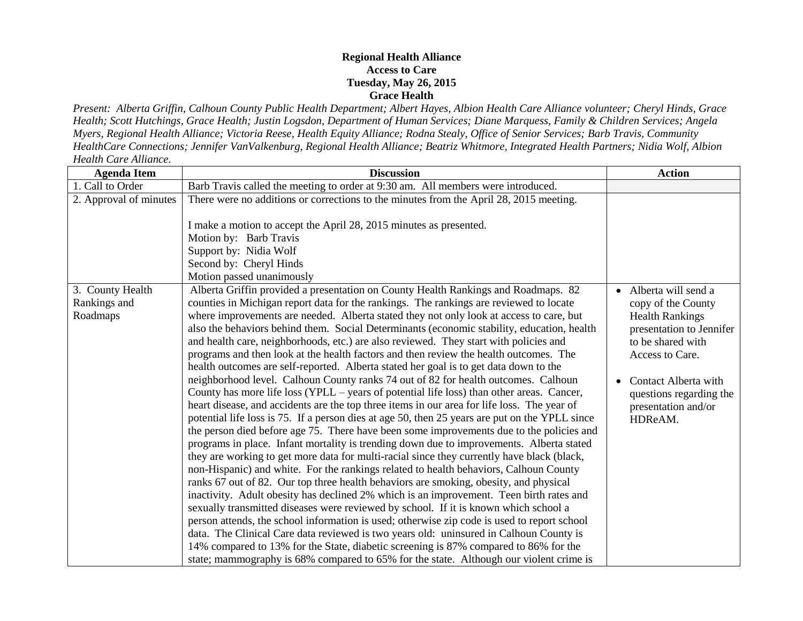## **Regional Health Alliance Access to Care Tuesday, May 26, 2015 Grace Health**

*Present: Alberta Griffin, Calhoun County Public Health Department; Albert Hayes, Albion Health Care Alliance volunteer; Cheryl Hinds, Grace Health; Scott Hutchings, Grace Health; Justin Logsdon, Department of Human Services; Diane Marquess, Family & Children Services; Angela Myers, Regional Health Alliance; Victoria Reese, Health Equity Alliance; Rodna Stealy, Office of Senior Services; Barb Travis, Community HealthCare Connections; Jennifer VanValkenburg, Regional Health Alliance; Beatriz Whitmore, Integrated Health Partners; Nidia Wolf, Albion Health Care Alliance.*

| <b>Agenda Item</b>                           | <b>Discussion</b>                                                                                                                                                                                                                                                                                                                                                                                                                                                                                                                                                                                                                                                                                                                                                                                                                                                                                                                                                                                                                                                                                                                                                                                                                                                                                                                                                                                                                                                                                                                                                                                                                                                                                                                                                                                                                                                                                                                                                                                                                                                          | <b>Action</b>                                                                                                                                                                                                                  |
|----------------------------------------------|----------------------------------------------------------------------------------------------------------------------------------------------------------------------------------------------------------------------------------------------------------------------------------------------------------------------------------------------------------------------------------------------------------------------------------------------------------------------------------------------------------------------------------------------------------------------------------------------------------------------------------------------------------------------------------------------------------------------------------------------------------------------------------------------------------------------------------------------------------------------------------------------------------------------------------------------------------------------------------------------------------------------------------------------------------------------------------------------------------------------------------------------------------------------------------------------------------------------------------------------------------------------------------------------------------------------------------------------------------------------------------------------------------------------------------------------------------------------------------------------------------------------------------------------------------------------------------------------------------------------------------------------------------------------------------------------------------------------------------------------------------------------------------------------------------------------------------------------------------------------------------------------------------------------------------------------------------------------------------------------------------------------------------------------------------------------------|--------------------------------------------------------------------------------------------------------------------------------------------------------------------------------------------------------------------------------|
| 1. Call to Order                             | Barb Travis called the meeting to order at 9:30 am. All members were introduced.                                                                                                                                                                                                                                                                                                                                                                                                                                                                                                                                                                                                                                                                                                                                                                                                                                                                                                                                                                                                                                                                                                                                                                                                                                                                                                                                                                                                                                                                                                                                                                                                                                                                                                                                                                                                                                                                                                                                                                                           |                                                                                                                                                                                                                                |
| 2. Approval of minutes                       | There were no additions or corrections to the minutes from the April 28, 2015 meeting.                                                                                                                                                                                                                                                                                                                                                                                                                                                                                                                                                                                                                                                                                                                                                                                                                                                                                                                                                                                                                                                                                                                                                                                                                                                                                                                                                                                                                                                                                                                                                                                                                                                                                                                                                                                                                                                                                                                                                                                     |                                                                                                                                                                                                                                |
|                                              | I make a motion to accept the April 28, 2015 minutes as presented.                                                                                                                                                                                                                                                                                                                                                                                                                                                                                                                                                                                                                                                                                                                                                                                                                                                                                                                                                                                                                                                                                                                                                                                                                                                                                                                                                                                                                                                                                                                                                                                                                                                                                                                                                                                                                                                                                                                                                                                                         |                                                                                                                                                                                                                                |
|                                              | Motion by: Barb Travis                                                                                                                                                                                                                                                                                                                                                                                                                                                                                                                                                                                                                                                                                                                                                                                                                                                                                                                                                                                                                                                                                                                                                                                                                                                                                                                                                                                                                                                                                                                                                                                                                                                                                                                                                                                                                                                                                                                                                                                                                                                     |                                                                                                                                                                                                                                |
|                                              | Support by: Nidia Wolf                                                                                                                                                                                                                                                                                                                                                                                                                                                                                                                                                                                                                                                                                                                                                                                                                                                                                                                                                                                                                                                                                                                                                                                                                                                                                                                                                                                                                                                                                                                                                                                                                                                                                                                                                                                                                                                                                                                                                                                                                                                     |                                                                                                                                                                                                                                |
|                                              | Second by: Cheryl Hinds                                                                                                                                                                                                                                                                                                                                                                                                                                                                                                                                                                                                                                                                                                                                                                                                                                                                                                                                                                                                                                                                                                                                                                                                                                                                                                                                                                                                                                                                                                                                                                                                                                                                                                                                                                                                                                                                                                                                                                                                                                                    |                                                                                                                                                                                                                                |
|                                              | Motion passed unanimously                                                                                                                                                                                                                                                                                                                                                                                                                                                                                                                                                                                                                                                                                                                                                                                                                                                                                                                                                                                                                                                                                                                                                                                                                                                                                                                                                                                                                                                                                                                                                                                                                                                                                                                                                                                                                                                                                                                                                                                                                                                  |                                                                                                                                                                                                                                |
| 3. County Health<br>Rankings and<br>Roadmaps | Alberta Griffin provided a presentation on County Health Rankings and Roadmaps. 82<br>counties in Michigan report data for the rankings. The rankings are reviewed to locate<br>where improvements are needed. Alberta stated they not only look at access to care, but<br>also the behaviors behind them. Social Determinants (economic stability, education, health<br>and health care, neighborhoods, etc.) are also reviewed. They start with policies and<br>programs and then look at the health factors and then review the health outcomes. The<br>health outcomes are self-reported. Alberta stated her goal is to get data down to the<br>neighborhood level. Calhoun County ranks 74 out of 82 for health outcomes. Calhoun<br>County has more life loss (YPLL – years of potential life loss) than other areas. Cancer,<br>heart disease, and accidents are the top three items in our area for life loss. The year of<br>potential life loss is 75. If a person dies at age 50, then 25 years are put on the YPLL since<br>the person died before age 75. There have been some improvements due to the policies and<br>programs in place. Infant mortality is trending down due to improvements. Alberta stated<br>they are working to get more data for multi-racial since they currently have black (black,<br>non-Hispanic) and white. For the rankings related to health behaviors, Calhoun County<br>ranks 67 out of 82. Our top three health behaviors are smoking, obesity, and physical<br>inactivity. Adult obesity has declined 2% which is an improvement. Teen birth rates and<br>sexually transmitted diseases were reviewed by school. If it is known which school a<br>person attends, the school information is used; otherwise zip code is used to report school<br>data. The Clinical Care data reviewed is two years old: uninsured in Calhoun County is<br>14% compared to 13% for the State, diabetic screening is 87% compared to 86% for the<br>state; mammography is 68% compared to 65% for the state. Although our violent crime is | • Alberta will send a<br>copy of the County<br><b>Health Rankings</b><br>presentation to Jennifer<br>to be shared with<br>Access to Care.<br>Contact Alberta with<br>questions regarding the<br>presentation and/or<br>HDReAM. |